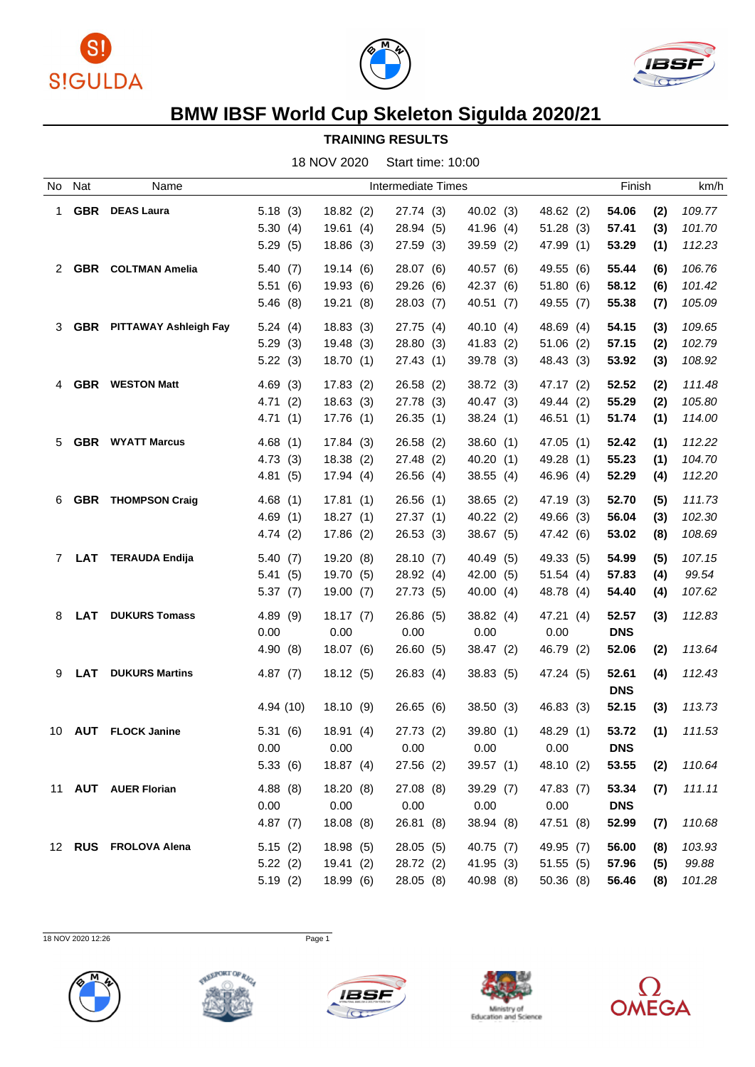





## **BMW IBSF World Cup Skeleton Sigulda 2020/21**

## **TRAINING RESULTS**

18 NOV 2020 Start time: 10:00

| No.         | Nat        | Name                             |          |           | Intermediate Times |           |           | Finish     | km/h          |
|-------------|------------|----------------------------------|----------|-----------|--------------------|-----------|-----------|------------|---------------|
| 1           | <b>GBR</b> | <b>DEAS Laura</b>                | 5.18(3)  | 18.82(2)  | 27.74 (3)          | 40.02(3)  | 48.62 (2) | 54.06      | (2)<br>109.77 |
|             |            |                                  | 5.30(4)  | 19.61(4)  | 28.94(5)           | 41.96 (4) | 51.28(3)  | 57.41      | 101.70<br>(3) |
|             |            |                                  | 5.29(5)  | 18.86(3)  | 27.59(3)           | 39.59(2)  | 47.99 (1) | 53.29      | (1)<br>112.23 |
| 2           |            | <b>GBR</b> COLTMAN Amelia        | 5.40(7)  | 19.14(6)  | 28.07 (6)          | 40.57 (6) | 49.55 (6) | 55.44      | 106.76<br>(6) |
|             |            |                                  | 5.51(6)  | 19.93(6)  | 29.26(6)           | 42.37 (6) | 51.80(6)  | 58.12      | 101.42<br>(6) |
|             |            |                                  | 5.46(8)  | 19.21(8)  | 28.03(7)           | 40.51(7)  | 49.55 (7) | 55.38      | 105.09<br>(7) |
| 3           |            | <b>GBR</b> PITTAWAY Ashleigh Fay | 5.24(4)  | 18.83(3)  | 27.75 (4)          | 40.10(4)  | 48.69 (4) | 54.15      | 109.65<br>(3) |
|             |            |                                  | 5.29(3)  | 19.48(3)  | 28.80(3)           | 41.83(2)  | 51.06(2)  | 57.15      | (2)<br>102.79 |
|             |            |                                  | 5.22(3)  | 18.70(1)  | 27.43(1)           | 39.78(3)  | 48.43 (3) | 53.92      | 108.92<br>(3) |
| 4           |            | <b>GBR</b> WESTON Matt           | 4.69(3)  | 17.83(2)  | 26.58(2)           | 38.72 (3) | 47.17 (2) | 52.52      | (2)<br>111.48 |
|             |            |                                  | 4.71(2)  | 18.63(3)  | 27.78 (3)          | 40.47(3)  | 49.44 (2) | 55.29      | 105.80<br>(2) |
|             |            |                                  | 4.71(1)  | 17.76(1)  | 26.35(1)           | 38.24(1)  | 46.51(1)  | 51.74      | 114.00<br>(1) |
| 5           |            | <b>GBR</b> WYATT Marcus          | 4.68(1)  | 17.84(3)  | 26.58(2)           | 38.60(1)  | 47.05 (1) | 52.42      | (1)<br>112.22 |
|             |            |                                  | 4.73(3)  | 18.38(2)  | 27.48(2)           | 40.20(1)  | 49.28 (1) | 55.23      | (1)<br>104.70 |
|             |            |                                  | 4.81(5)  | 17.94(4)  | 26.56(4)           | 38.55(4)  | 46.96 (4) | 52.29      | 112.20<br>(4) |
| 6           | <b>GBR</b> | <b>THOMPSON Craig</b>            | 4.68(1)  | 17.81(1)  | 26.56(1)           | 38.65(2)  | 47.19 (3) | 52.70      | 111.73<br>(5) |
|             |            |                                  | 4.69(1)  | 18.27(1)  | 27.37(1)           | 40.22(2)  | 49.66 (3) | 56.04      | 102.30<br>(3) |
|             |            |                                  | 4.74(2)  | 17.86(2)  | 26.53(3)           | 38.67 (5) | 47.42 (6) | 53.02      | 108.69<br>(8) |
| $7^{\circ}$ | <b>LAT</b> | <b>TERAUDA Endija</b>            | 5.40(7)  | 19.20(8)  | 28.10(7)           | 40.49 (5) | 49.33 (5) | 54.99      | 107.15<br>(5) |
|             |            |                                  | 5.41(5)  | 19.70 (5) | 28.92 (4)          | 42.00(5)  | 51.54(4)  | 57.83      | 99.54<br>(4)  |
|             |            |                                  | 5.37(7)  | 19.00 (7) | 27.73 (5)          | 40.00(4)  | 48.78 (4) | 54.40      | (4)<br>107.62 |
| 8           |            | <b>LAT</b> DUKURS Tomass         | 4.89(9)  | 18.17(7)  | 26.86(5)           | 38.82 (4) | 47.21 (4) | 52.57      | 112.83<br>(3) |
|             |            |                                  | 0.00     | 0.00      | 0.00               | 0.00      | 0.00      | <b>DNS</b> |               |
|             |            |                                  | 4.90(8)  | 18.07(6)  | 26.60 (5)          | 38.47 (2) | 46.79 (2) | 52.06      | (2)<br>113.64 |
| 9           | LAT        | <b>DUKURS Martins</b>            | 4.87(7)  | 18.12(5)  | 26.83(4)           | 38.83(5)  | 47.24 (5) | 52.61      | 112.43<br>(4) |
|             |            |                                  |          |           |                    |           |           | <b>DNS</b> |               |
|             |            |                                  | 4.94(10) | 18.10(9)  | 26.65(6)           | 38.50(3)  | 46.83 (3) | 52.15      | 113.73<br>(3) |
| 10.         |            | <b>AUT</b> FLOCK Janine          | 5.31(6)  | 18.91(4)  | 27.73 (2)          | 39.80(1)  | 48.29 (1) | 53.72      | (1)<br>111.53 |
|             |            |                                  | 0.00     | 0.00      | 0.00               | 0.00      | 0.00      | <b>DNS</b> |               |
|             |            |                                  | 5.33(6)  | 18.87(4)  | 27.56(2)           | 39.57(1)  | 48.10 (2) | 53.55      | 110.64<br>(2) |
|             |            | 11 AUT AUER Florian              | 4.88(8)  | 18.20(8)  | 27.08 (8)          | 39.29 (7) | 47.83 (7) | 53.34      | 111.11<br>(7) |
|             |            |                                  | 0.00     | 0.00      | 0.00               | 0.00      | 0.00      | <b>DNS</b> |               |
|             |            |                                  | 4.87(7)  | 18.08(8)  | 26.81 (8)          | 38.94 (8) | 47.51 (8) | 52.99      | 110.68<br>(7) |
|             |            | 12 RUS FROLOVA Alena             | 5.15(2)  | 18.98 (5) | 28.05 (5)          | 40.75(7)  | 49.95 (7) | 56.00      | 103.93<br>(8) |
|             |            |                                  | 5.22(2)  | 19.41(2)  | 28.72 (2)          | 41.95(3)  | 51.55(5)  | 57.96      | 99.88<br>(5)  |
|             |            |                                  | 5.19(2)  | 18.99 (6) | 28.05 (8)          | 40.98 (8) | 50.36(8)  | 56.46      | 101.28<br>(8) |
|             |            |                                  |          |           |                    |           |           |            |               |

18 NOV 2020 12:26 Page 1